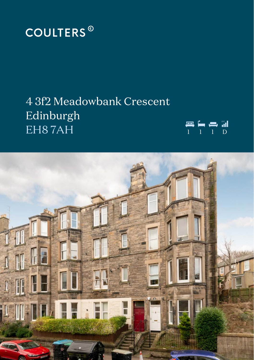

# 4 3f2 Meadowbank Crescent Edinburgh EH8 7AH <sup>1</sup> <sup>1</sup> <sup>1</sup> <sup>D</sup>



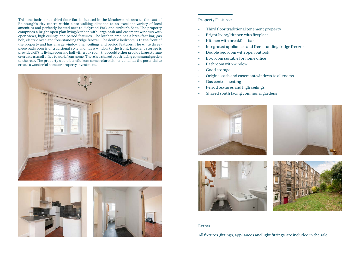This one bedroomed third floor flat is situated in the Meadowbank area to the east of Edinburgh's city centre within close walking distance to an excellent variety of local amenities and perfectly located next to Holyrood Park and Arthur's Seat. The property comprises a bright open plan living/kitchen with large sash and casement windows with open views, high ceilings and period features. The kitchen area has a breakfast bar, gas hob, electric oven and free-standing fridge freezer. The double bedroom is to the front of the property and has a large window, high ceilings and period features. The white threepiece bathroom is of traditional style and has a window to the front. Excellent storage is provided off the living room and hall with a box room that could either provide large storage or create a small office to work from home. There is a shared south facing communal garden to the rear. The property would benefit from some refurbishment and has the potential to create a wonderful home or property investment.







### Property Features:

- Third floor traditional tenement property
- Bright living/kitchen with fireplace
- Kitchen with breakfast bar
- Integrated appliances and free-standing fridge freezer
- Double bedroom with open outlook
- Box room suitable for home office
- Bathroom with window
- Good storage
- Original sash and casement windows to all rooms
- Gas central heating
- Period features and high ceilings
- Shared south facing communal gardens



#### Extras

All fixtures ,fittings, appliances and light fittings are included in the sale.